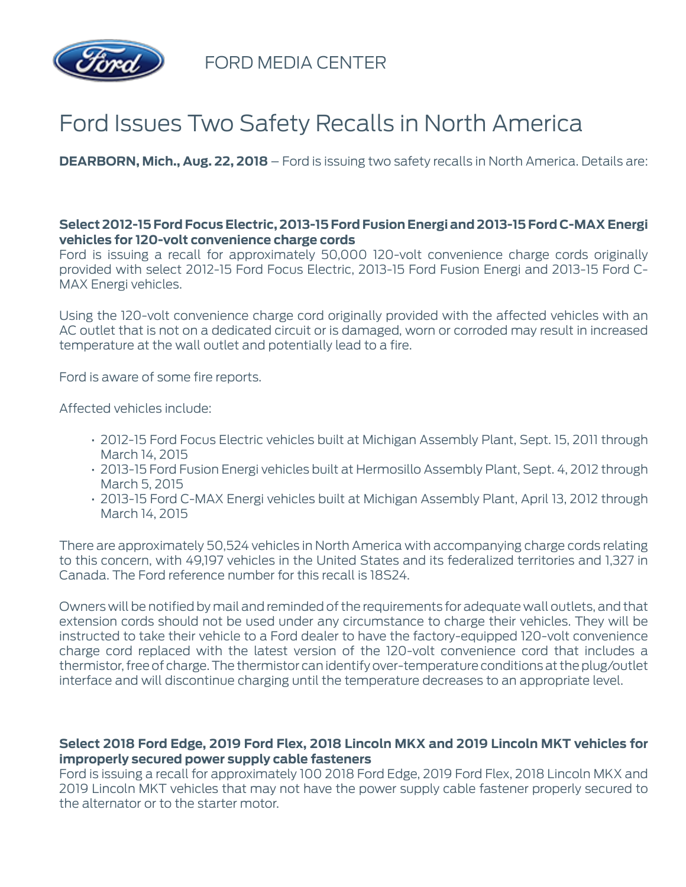

FORD MEDIA CENTER

## Ford Issues Two Safety Recalls in North America

**DEARBORN, Mich., Aug. 22, 2018** – Ford is issuing two safety recalls in North America. Details are:

## **Select 2012-15 Ford Focus Electric, 2013-15 Ford Fusion Energi and 2013-15 Ford C-MAX Energi vehicles for 120-volt convenience charge cords**

Ford is issuing a recall for approximately 50,000 120-volt convenience charge cords originally provided with select 2012-15 Ford Focus Electric, 2013-15 Ford Fusion Energi and 2013-15 Ford C-MAX Energi vehicles.

Using the 120-volt convenience charge cord originally provided with the affected vehicles with an AC outlet that is not on a dedicated circuit or is damaged, worn or corroded may result in increased temperature at the wall outlet and potentially lead to a fire.

Ford is aware of some fire reports.

Affected vehicles include:

- 2012-15 Ford Focus Electric vehicles built at Michigan Assembly Plant, Sept. 15, 2011 through March 14, 2015
- 2013-15 Ford Fusion Energi vehicles built at Hermosillo Assembly Plant, Sept. 4, 2012 through March 5, 2015
- 2013-15 Ford C-MAX Energi vehicles built at Michigan Assembly Plant, April 13, 2012 through March 14, 2015

There are approximately 50,524 vehicles in North America with accompanying charge cords relating to this concern, with 49,197 vehicles in the United States and its federalized territories and 1,327 in Canada. The Ford reference number for this recall is 18S24.

Owners will be notified by mail and reminded of the requirements for adequate wall outlets, and that extension cords should not be used under any circumstance to charge their vehicles. They will be instructed to take their vehicle to a Ford dealer to have the factory-equipped 120-volt convenience charge cord replaced with the latest version of the 120-volt convenience cord that includes a thermistor, free of charge. The thermistor can identify over-temperature conditions at the plug/outlet interface and will discontinue charging until the temperature decreases to an appropriate level.

## **Select 2018 Ford Edge, 2019 Ford Flex, 2018 Lincoln MKX and 2019 Lincoln MKT vehicles for improperly secured power supply cable fasteners**

Ford is issuing a recall for approximately 100 2018 Ford Edge, 2019 Ford Flex, 2018 Lincoln MKX and 2019 Lincoln MKT vehicles that may not have the power supply cable fastener properly secured to the alternator or to the starter motor.